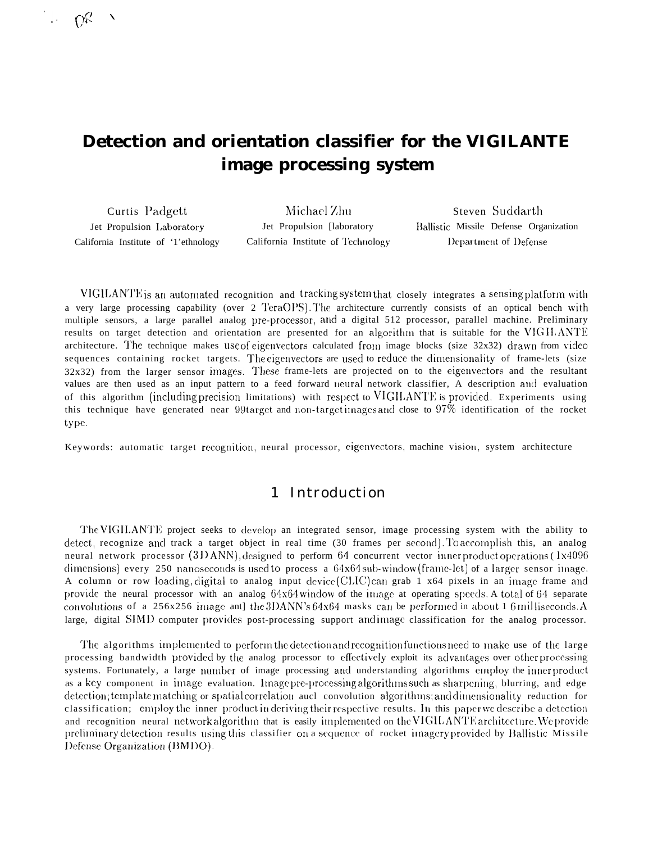### $O^{\mathcal{C}}$

# Detection and orientation classifier for the VIGILANTE image processing system

Curtis Padgett Jet Propulsion Laboratory California Institute of '1'ethnology

Michael Zhu Jet Propulsion [laboratory California Institute of Technology

Steven Suddarth Ballistic Missile Defense Organization Department of Defense

VIGILANTE is an automated recognition and tracking system that closely integrates a sensing platform with a very large processing capability (over 2 TeraOPS). The architecture currently consists of an optical bench with multiple sensors, a large parallel analog pre-processor, and a digital 512 processor, parallel machine. Preliminary results on target detection and orientation are presented for an algorithm that is suitable for the VIGHANTE architecture. The technique makes use of eigenvectors calculated from image blocks (size 32x32) drawn from video sequences containing rocket targets. The eigenvectors are used to reduce the dimensionality of frame-lets (size 32x32) from the larger sensor images. These frame-lets are projected on to the eigenvectors and the resultant values are then used as an input pattern to a feed forward neural network classifier, A description and evaluation of this algorithm (including precision limitations) with respect to VIGILANTE is provided. Experiments using this technique have generated near 99target and non-target images and close to  $97\%$  identification of the rocket type.

Keywords: automatic target recognition, neural processor, eigenvectors, machine vision, system architecture

#### 1 Introduction

The VIGILANTE project seeks to develop an integrated sensor, image processing system with the ability to detect, recognize and track a target object in real time (30 frames per second). To accomplish this, an analog neural network processor (3DANN), designed to perform 64 concurrent vector inner product operations (1x4096 dimensions) every 250 nanoseconds is used to process a  $64x64$  sub-window (frame-let) of a larger sensor image. A column or row loading, digital to analog input device (CLIC) can grab 1 x64 pixels in an image frame and provide the neural processor with an analog 64x64 window of the ituage at operating speeds. A total of 64 separate convolutions of a 256x256 image ant] the 3DANN's 64x64 masks can be performed in about 1 6 milliseconds. A large, digital SIMD computer provides post-processing support and image classification for the analog processor.

The algorithms implemented to perform the detection and recognition functions need to make use of the large processing bandwidth provided by the analog processor to effectively exploit its advantages over other processing systems. Fortunately, a large number of image processing and understanding algorithms employ the inner product as a key component in image evaluation. Image pre-processing algorithms such as sharpening, blurring, and edge detection; template matching or spatial correlation auch convolution algorithms; and dimensionality reduction for classification; employ the inner product in deriving their respective results. In this paper we describe a detection and recognition neural network algorithm that is easily implemented on the VIGHANTE architecture. We provide preliminary detection results using this classifier on a sequence of rocket imagery provided by Ballistic Missile Defense Organization (BMDO).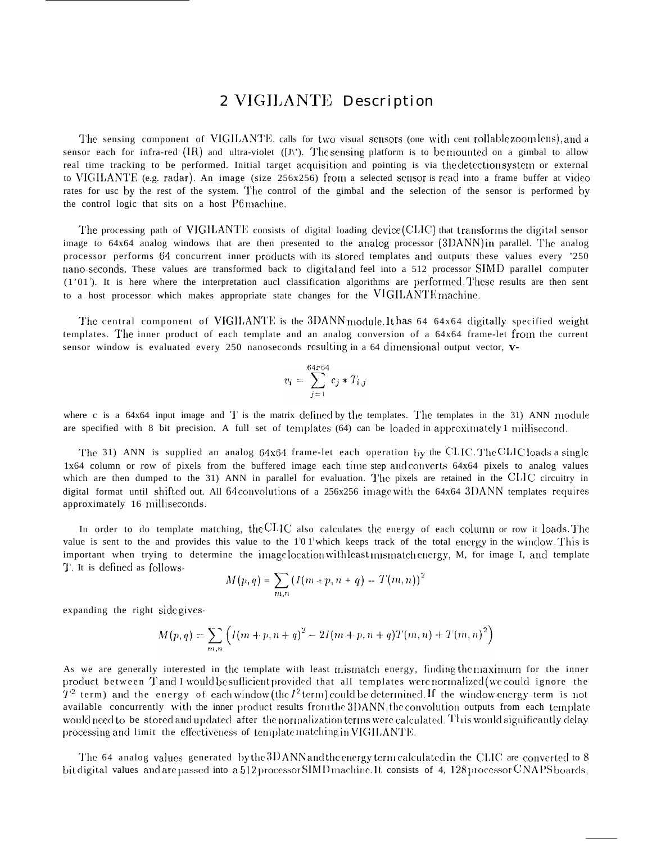# 2 VIGILANTE Description

The sensing component of VIGH,ANTE, calls for two visual sensors (one with cent rollable zoom lens), and a sensor each for infra-red  $(IR)$  and ultra-violet  $([J\,$ . The sensing platform is to be mounted on a gimbal to allow real time tracking to be performed. Initial target acquisition and pointing is via the detection system or external to VIGILANTE (e.g. radar). An image (size 256x256) from a selected sensor is read into a frame buffer at video rates for usc by the rest of the system. 'lhe control of the gimbal and the selection of the sensor is performed by the control logic that sits on a host  $P6$  machine.

The processing path of VIGILANTE consists of digital loading device (CLIC) that transforms the digital sensor image to  $64x64$  analog windows that are then presented to the analog processor  $(3DANN)$  in parallel. The analog processor performs 64 concurrent inner products with its stored templates and outputs these values every '250 nano-seconds. These values are transformed back to digital and feel into a 512 processor SIMD parallel computer (1'01'). It is here where the interpretation aucl classification algorithms are performed. These results are then sent to a host processor which makes appropriate state changes for the  $VIGILANTE$  machine.

The central component of VIGILANTE is the 3DANN module. It has 64 64x64 digitally specified weight templates. The inner product of each template and an analog conversion of a 64x64 frame-let from the current sensor window is evaluated every 250 nanoseconds resulting in a 64 dimensional output vector,  $v$ -

$$
v_i = \sum_{j=1}^{64x64} c_j * T_{i,j}
$$

where c is a  $64x64$  input image and T is the matrix defined by the templates. The templates in the 31) ANN module are specified with 8 bit precision. A full set of templates  $(64)$  can be loaded in approximately 1 millisecond.

The 31) ANN is supplied an analog  $64x64$  frame-let each operation by the CLIC. The CLIC loads a single  $1x64$  column or row of pixels from the buffered image each time step and converts  $64x64$  pixels to analog values which are then dumped to the 31) ANN in parallel for evaluation. The pixels are retained in the CLIC circuitry in digital format until shifted out. All 64 convolutions of a 256x256 image with the 64x64 3DANN templates requires approximately 16 milliseconds.

In order to do template matching, the CLIC also calculates the energy of each column or row it loads. The value is sent to the and provides this value to the  $101'$  which keeps track of the total energy in the window. This is important when trying to determine the image location with least mismatch energy, M, for image I, and template T. It is defined as follows-

$$
M(p,q) = \sum_{m,n} (I(m+p, n+q) - T(m,n))^2
$$

expanding the right side gives-

$$
M(p,q) = \sum_{m,n} \left( I(m+p,n+q)^2 - 2I(m+p,n+q)T(m,n) + T(m,n)^2 \right)
$$

As we are generally interested in the template with least mismatch energy, finding the maximum for the inner product between T and I would be sufficient provided that all templates were normalized (we could ignore the  $T<sup>2</sup>$  term) and the energy of each window (the  $I<sup>2</sup>$  term) could be determined. If the window energy term is not available concurrently with the inner product results from the 3DANN, the convolution outputs from each template would need to be stored and updated after the normalization terms were calculated. This would significantly delay processing and limit the effectiveness of template matching in  $VIGILANTE$ .

The 64 analog values generated by the  $3D$  ANN and the energy term calculated in the CLIC are converted to 8 bit digital values and are passed into a  $512$  processor SIMD machine. It consists of 4,  $128$  processor CNAPS boards,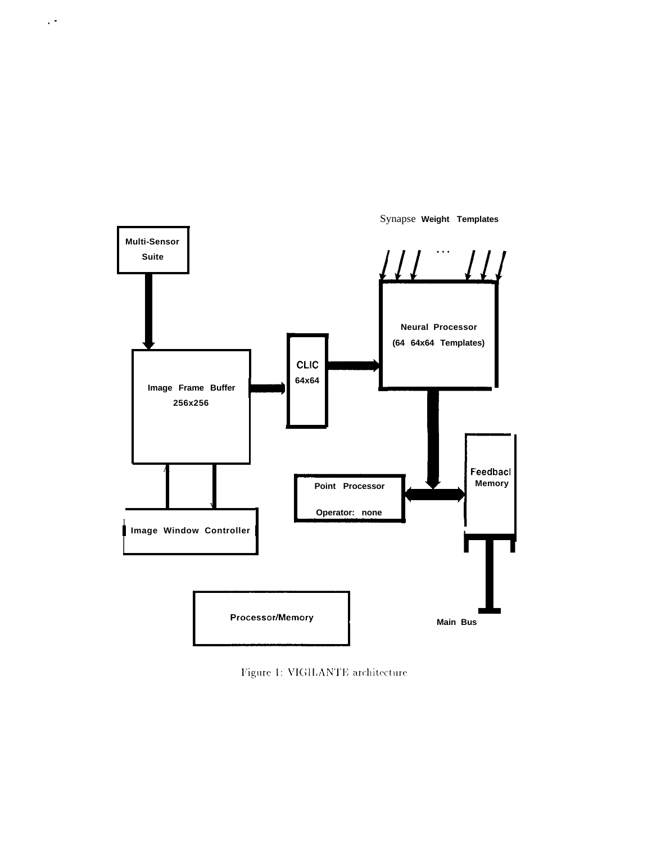

. .

Synapse **Weight Templates**

Figure 1: VIGILANTE architecture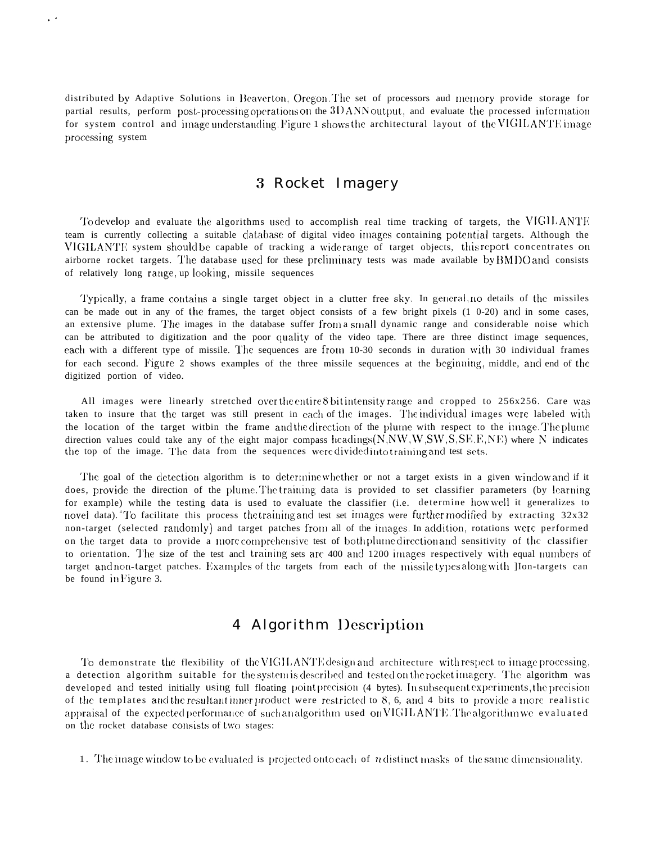distributed by Adaptive Solutions in Beaverton, Oregon. The set of processors aud memory provide storage for partial results, perform post-processing operations on the 3D ANN output, and evaluate the processed information for system control and image understanding. Figure 1 shows the architectural layout of the VIGILANTE image processing system

 $\sim$ 

#### 3 Rocket Imagery

To develop and evaluate the algorithms used to accomplish real time tracking of targets, the VIGILANTE team is currently collecting a suitable database of digital video images containing potential targets. Although the VIGILANTE system should be capable of tracking a widerange of target objects, this report concentrates on airborne rocket targets. The database used for these preliminary tests was made available by BMDO and consists of relatively long range, up looking, missile sequences

Typically, a frame contains a single target object in a clutter free sky. In general, no details of the missiles can be made out in any of the frames, the target object consists of a few bright pixels  $(1\ 0-20)$  and in some cases, an extensive plume. The images in the database suffer from a small dynamic range and considerable noise which can be attributed to digitization and the poor quality of the video tape. There are three distinct image sequences, each with a different type of missile. The sequences are from 10-30 seconds in duration with 30 individual frames for each second. Figure 2 shows examples of the three missile sequences at the beginning, middle, and end of the digitized portion of video.

All images were linearly stretched over the entire 8 bit intensity range and cropped to 256x256. Care was taken to insure that the target was still present in each of the images. The individual images were labeled with the location of the target within the frame and the direction of the plume with respect to the image. The plume direction values could take any of the eight major compass headings  $(N, NW, SW, S, SE, E, NE)$  where N indicates the top of the image. The data from the sequences were divided into training and test sets.

The goal of the detection algorithm is to determine whether or not a target exists in a given window and if it does, provide the direction of the plume. The training data is provided to set classifier parameters (by learning for example) while the testing data is used to evaluate the classifier (i.e. determine how well it generalizes to novel data). To facilitate this process the training and test set images were further modified by extracting 32x32 non-target (selected randomly) and target patches from all of the images. In addition, rotations were performed on the target data to provide a more comprehensive test of both plume direction and sensitivity of the classifier to orientation. The size of the test and training sets are 400 and 1200 images respectively with equal numbers of target and non-target patches. Examples of the targets from each of the missiletypes along with Hon-targets can be found in Figure 3.

# 4 Algorithm Description

To demonstrate the flexibility of the VIGH. ANTE designand architecture with respect to image processing, a detection algorithm suitable for the system is described and tested on the rocket imagery. The algorithm was developed and tested initially using full floating point precision (4 bytes). In subsequent experiments, the precision of the templates and the resultant inner product were restricted to  $8, 6$ , and  $4$  bits to provide a more realistic appraisal of the expected performance of such an algorithm used on VIGILANTE. The algorithm we evaluated on the rocket database consists of two stages:

1. The image window to be evaluated is projected onto each of  $n$  distinct masks of the same dimensionality.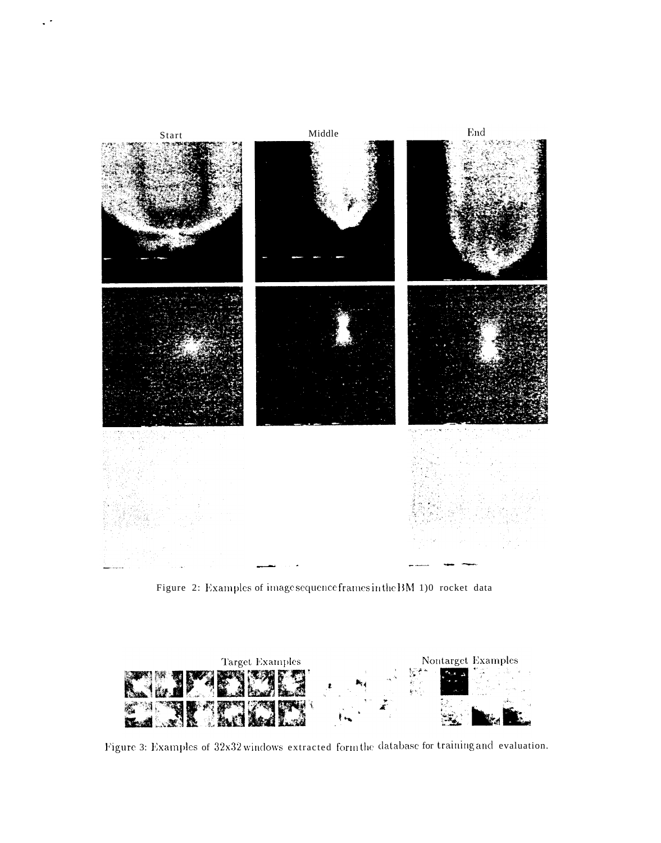

 $\cdot$  .

Figure 2: Examples of image sequence frames in the BM 1)0 rocket data



Figure 3: Examples of 32x32 windows extracted form the database for training and evaluation.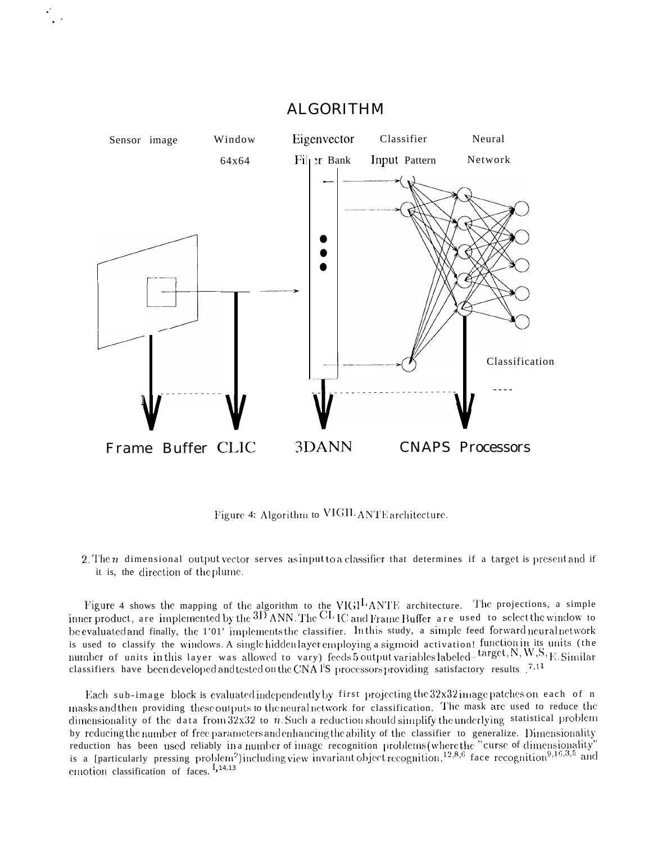

**ALGORITHM** 

Figure 4: Algorithm to VIGIL ANTE architecture.

2. The *n* dimensional output vector serves as input to a classifier that determines if a target is present and if it is, the direction of the plume.

Figure 4 shows the mapping of the algorithm to the VIGILANTE architecture. The projections, a simple inner product, are implemented by the <sup>3D</sup> ANN. The <sup>CL</sup> IC and Frame Buffer are used to select the window to be evaluated and finally, the 1'01' implements the classifier. In this study, a simple feed forward neural network is used to classify the windows. A single hidden layer employing a sigmoid activation! function in its units (the number of units in this layer was allowed to vary) feeds 5 output variables labeled-target, N, W, S, E. Similar classifiers have been developed and tested on the CNA l'S processors providing satisfactory results .7,11

Each sub-image block is evaluated independently by first projecting the 32x32 image patches on each of n masks and then providing these outputs to the neural network for classification. The mask are used to reduce the dimensionality of the data from  $32x32$  to n. Such a reduction should simplify the underlying statistical problem by reducing the number of free parameters and enhancing the ability of the classifier to generalize. Dimensionality reduction has been used reliably in a number of image recognition problems (where the "curse of dimensionality"<br>is a [particularly pressing problem<sup>2</sup>) including view invariant object recognition,<sup>12,8,6</sup> face recognition, emotion classification of faces. <sup>I, 14,13</sup>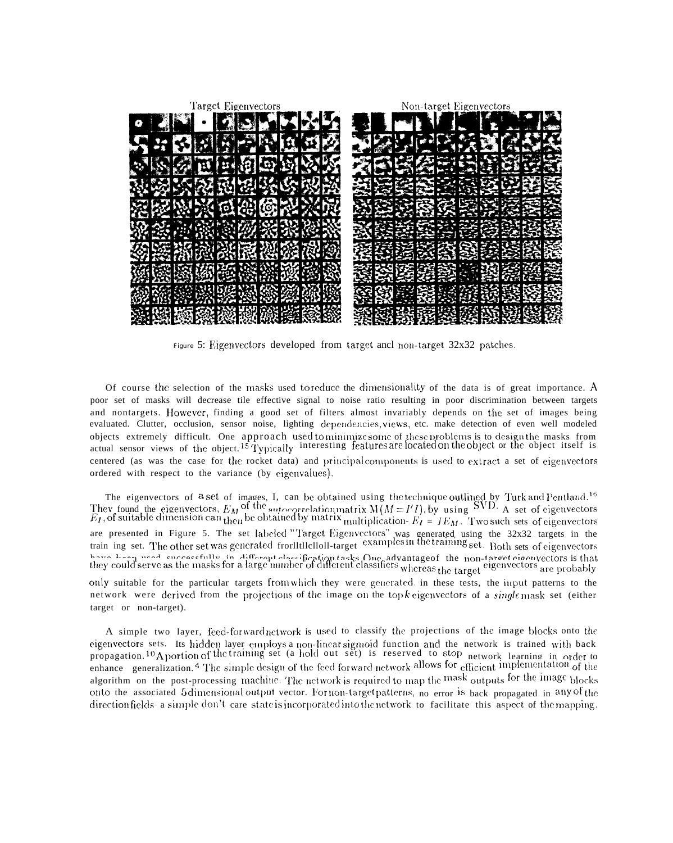

Figure 5: Eigenvectors developed from target and non-target 32x32 patches.

Of course the selection of the masks used to reduce the dimensionality of the data is of great importance. A poor set of masks will decrease tile effective signal to noise ratio resulting in poor discrimination between targets and nontargets. However, finding a good set of filters almost invariably depends on the set of images being evaluated. Clutter, occlusion, sensor noise, lighting dependencies, views, etc. make detection of even well modeled objects extremely difficult. One approach used to minimize some of these problems is to design the masks from<br>actual sensor views of the object.<sup>15</sup>Typically interesting features are located on the object or the object its centered (as was the case for the rocket data) and principal components is used to extract a set of eigenvectors ordered with respect to the variance (by eigenvalues).

The eigenvectors of a set of images, I, can be obtained using the technique outlined by Turk and Pentland.<sup>16</sup><br>They found the eigenvectors,  $E_M$  of the autocorrelation matrix  $M(M = I'I)$ , by using SVD. A set of eigenvectors are presented in Figure 5. The set labeled "Target Eigenvectors" was generated using the 32x32 targets in the<br>train ing set. The other set was generated frorlltllclloll-target examples in the training set. Both sets of eig they could serve as the masks for a large number of different classifiers whereas the target eigenvectors is that they could serve as the masks for a large number of different classifiers whereas the target eigenvectors ar only suitable for the particular targets from which they were generated, in these tests, the input patterns to the network were derived from the projections of the image on the top  $k$  eigenvectors of a single mask set (either target or non-target).

A simple two layer, feed-forward network is used to classify the projections of the image blocks onto the eigenvectors sets. Its hidden layer employs a non-linear sigmoid function and the network is trained with back<br>propagation.<sup>10</sup>A portion of the training set (a hold out set) is reserved to stop network learning in order to algorithm on the post-processing machine. The network is required to map the mask outputs for the image blocks onto the associated 5 dimensional output vector. For non-target patterns, no error is back propagated in any of the direction fields- a simple don't care state is incorporated into the network to facilitate this aspect of the mapping.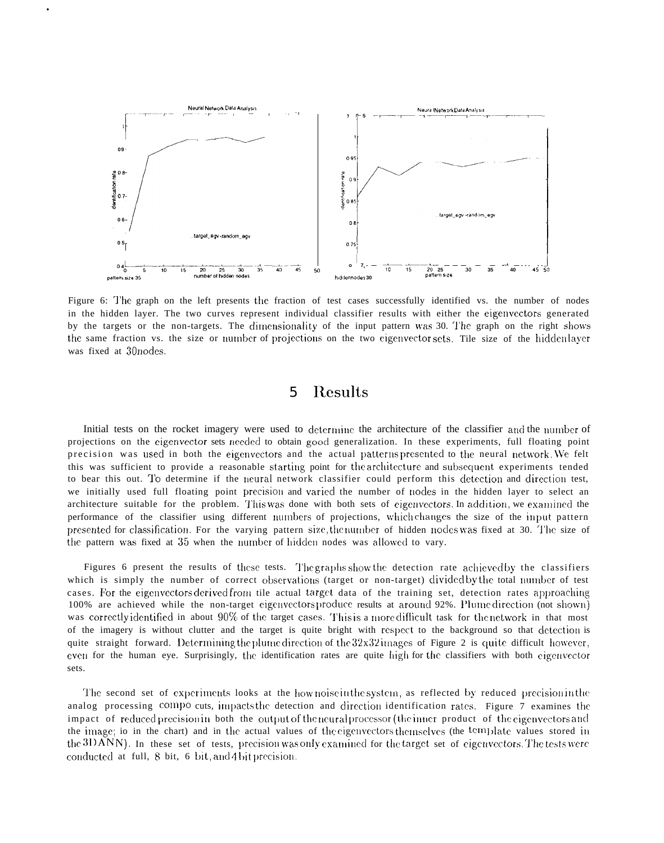

Figure 6: The graph on the left presents the fraction of test cases successfully identified vs. the number of nodes in the hidden layer. The two curves represent individual classifier results with either the eigenvectors generated by the targets or the non-targets. The dimensionality of the input pattern was 30. The graph on the right shows the same fraction vs. the size or number of projections on the two eigenvector sets. Tile size of the hiddenlayer was fixed at 30nodes.

#### Results  $\overline{5}$

Initial tests on the rocket imagery were used to determine the architecture of the classifier and the number of projections on the eigenvector sets needed to obtain good generalization. In these experiments, full floating point precision was used in both the eigenvectors and the actual patterns presented to the neural network. We felt this was sufficient to provide a reasonable starting point for the architecture and subsequent experiments tended to bear this out. To determine if the neural network classifier could perform this detection and direction test, we initially used full floating point precision and varied the number of nodes in the hidden layer to select an architecture suitable for the problem. This was done with both sets of eigenvectors. In addition, we examined the performance of the classifier using different numbers of projections, which changes the size of the input pattern presented for classification. For the varying pattern size, the number of hidden nodes was fixed at 30. The size of the pattern was fixed at 35 when the number of hidden nodes was allowed to vary.

Figures 6 present the results of these tests. The graphs show the detection rate achieved by the classifiers which is simply the number of correct observations (target or non-target) divided by the total number of test cases. For the eigenvectors derived from tile actual target data of the training set, detection rates approaching 100% are achieved while the non-target eigenvectors produce results at around 92%. Plume direction (not shown) was correctlyidentified in about 90% of the target cases. This is a more difficult task for the network in that most of the imagery is without clutter and the target is quite bright with respect to the background so that detection is quite straight forward. Determining the plume direction of the 32x32 images of Figure 2 is quite difficult however, even for the human eye. Surprisingly, the identification rates are quite high for the classifiers with both eigenvector sets.

The second set of experiments looks at the hownoise in the system, as reflected by reduced precision in the analog processing compo cuts, impacts the detection and direction identification rates. Figure 7 examines the impact of reduced precision in both the output of the neural processor (the inner product of the eigenvectors and the image; io in the chart) and in the actual values of the eigenvectors themselves (the template values stored in the 3DANN). In these set of tests, precision was only examined for the target set of eigenvectors. The tests were conducted at full, 8 bit, 6 bit, and 4 bit precision.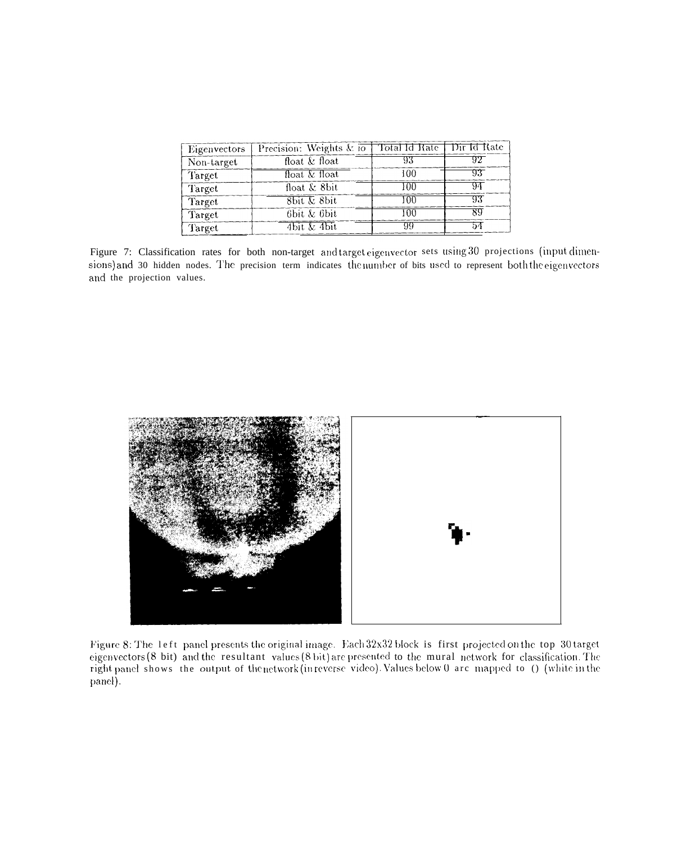| Eigenvectors | Precision: Weights & io | Total Id Rate   Dir Id Rate |  |
|--------------|-------------------------|-----------------------------|--|
| Non-target   | float & float           |                             |  |
| Target       | float & float           | 100                         |  |
| Target       | float & 8bit            | Ψ.                          |  |
| Target       | 8bit & 8bit             |                             |  |
| Target       | 6bit & 6bit             | 00                          |  |
| Target       | 4bit & 4bit             |                             |  |

Figure 7: Classification rates for both non-target and target eigenvector sets using 30 projections (input dimensions) and 30 hidden nodes. The precision term indicates the number of bits used to represent both the eigenvectors and the projection values.



Figure 8: The 1eft panel presents the original image. Each 32x32 block is first projected on the top 30 target eigenvectors (8 bit) and the resultant values (8 bit) are presented to the mural network for classification. The right panel shows the output of the network (in reverse video). Values below 0 arc mapped to () (white in the panel).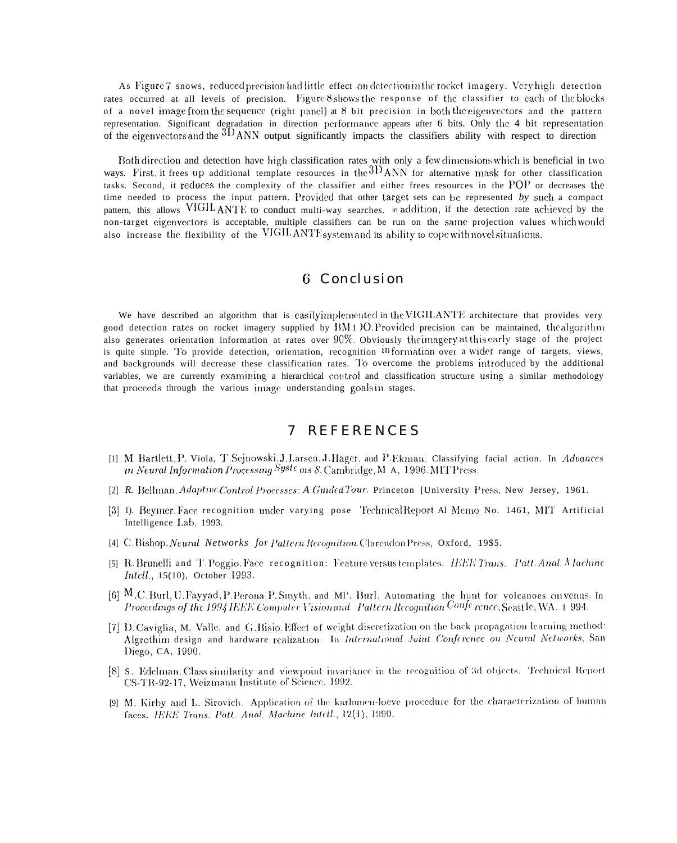As Figure 7 snows, reduced precision had little effect on detection in the rocket imagery. Very high detection rates occurred at all levels of precision. Figure 8 shows the response of the classifier to each of the blocks of a novel image from the sequence (right panel) at  $8$  bit precision in both the eigenvectors and the pattern representation. Significant degradation in direction performance appears after 6 bits. Only the 4 bit representation of the eigenvectors and the  $3D$  ANN output significantly impacts the classifiers ability with respect to direction

Both direction and detection have high classification rates with only a few dimensions which is beneficial in two ways. First, it frees up additional template resources in the  $^{3D}$  ANN for alternative mask for other classification tasks. Second, it reduces the complexity of the classifier and either frees resources in the POP or decreases the time needed to process the input pattern. Provided that other target sets can be represented by such a compact pattern, this allows VIGILANTE to conduct multi-way searches. In addition, if the detection rate achieved by the non-target eigenvectors is acceptable, multiple classifiers can be run on the same projection values which would also increase the flexibility of the VIGILANTE system and its ability to cope with novel situations.

#### 6 Conclusion

We have described an algorithm that is easily implemented in the VIGHANTE architecture that provides very good detection rates on rocket imagery supplied by BM110. Provided precision can be maintained, the algorithm also generates orientation information at rates over 90%. Obviously the imagery at this early stage of the project is quite simple. To provide detection, orientation, recognition information over a wider range of targets, views, and backgrounds will decrease these classification rates. To overcome the problems introduced by the additional variables, we are currently examining a hierarchical control and classification structure using a similar methodology that proceeds through the various image understanding goals in stages.

#### 7 REFERENCES

- [1] M Bartlett, P. Viola, T. Sejnowski, J. Larsen, J. Hager, aud P. Ekman. Classifying facial action. In Advances in Neural Information Processing Systems 8, Cambridge, M A, 1996. MIT Press.
- [2] R. Bellman. Adaptive Control Processes: A Guided Tour. Princeton [University Press, New Jersey, 1961.
- [3] 1). Beymer Face recognition under varying pose Technical Report Al Memo No. 1461, MIT Artificial Intelligence Lab, 1993.
- [4] C.Bishop.Neural Networks for Pattern Recognition.Clarendon Press, Oxford, 19\$5.
- [5] R. Brunelli and T. Poggio. Face recognition: Feature versus templates. IEEE Trans. Patt. Anal. Machine Intell., 15(10), October 1993.
- [6] M.C. Burl, U. Fayyad, P. Perona, P. Smyth, and MI'. Burl. Automating the hunt for volcances on venus. In Proceedings of the 1994 IEEE Computer Vision and Pattern Recognition Confe rence, Seattle, WA, 1 994.
- [7] D. Caviglia, M. Valle, and G. Bisio. Effect of weight discretization on the back propagation learning method: Algrothim design and hardware realization. In International Joint Conference on Neural Networks, San Diego, CA, 1990.
- [8] S. Edelman, Class similarity and viewpoint invariance in the recognition of 3d objects. Technical Report CS-TR-92-17, Weizmann Institute of Science, 1992.
- [9] M. Kirby and L. Sirovich. Application of the karhunen-loeve procedure for the characterization of human faces, IEEE Trans. Patt. Anal. Machine Intell., 12(1), 1990.